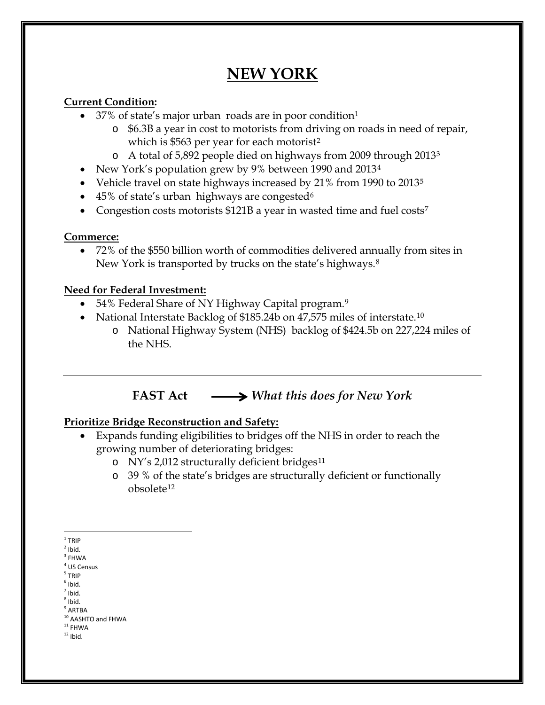# **NEW YORK**

### **Current Condition:**

- 37% of state's major urban roads are in poor condition<sup>[1](#page-0-0)</sup>
	- o \$6.3B a year in cost to motorists from driving on roads in need of repair, which is \$563 per year for each motorist<sup>[2](#page-0-1)</sup>
	- o A total of 5,892 people died on highways from 2009 through 2013[3](#page-0-2)
- New York's population grew by 9% between 1990 and 2013<sup>[4](#page-0-3)</sup>
- Vehicle travel on state highways increased by 21% from 1990 to 2013<sup>[5](#page-0-4)</sup>
- 45% of state's urban highways are congested<sup>[6](#page-0-5)</sup>
- Congestion costs motorists \$121B a year in wasted time and fuel costs<sup>7</sup>

### **Commerce:**

• 72% of the \$550 billion worth of commodities delivered annually from sites in New York is transported by trucks on the state's highways.<sup>[8](#page-0-7)</sup>

### **Need for Federal Investment:**

- 54% Federal Share of NY Highway Capital program.<sup>[9](#page-0-8)</sup>
- National Interstate Backlog of \$185.24b on 47,575 miles of interstate.<sup>[10](#page-0-9)</sup>
	- o National Highway System (NHS) backlog of \$424.5b on 227,224 miles of the NHS.

# **FAST Act** *What this does for New York*

## **Prioritize Bridge Reconstruction and Safety:**

- Expands funding eligibilities to bridges off the NHS in order to reach the growing number of deteriorating bridges:
	- o NY's 2,012 structurally deficient bridges<sup>[11](#page-0-10)</sup>
	- o 39 % of the state's bridges are structurally deficient or functionally obsolete[12](#page-0-11)

<span id="page-0-5"></span> $<sup>7</sup>$  Ibid.</sup>

<span id="page-0-0"></span> $1$  TRIP

<span id="page-0-1"></span> $2$  Ibid.

<span id="page-0-2"></span> $^3$  FHWA

<span id="page-0-3"></span><sup>4</sup> US Census

<span id="page-0-4"></span><sup>5</sup> TRIP  $<sup>6</sup>$  Ibid.</sup>

<span id="page-0-7"></span><span id="page-0-6"></span> $<sup>8</sup>$  Ibid.</sup>

<span id="page-0-8"></span> $^9$  ARTBA

<span id="page-0-9"></span> $10$  AASHTO and FHWA<br> $11$  FHWA

<span id="page-0-11"></span><span id="page-0-10"></span> $12$  Ibid.